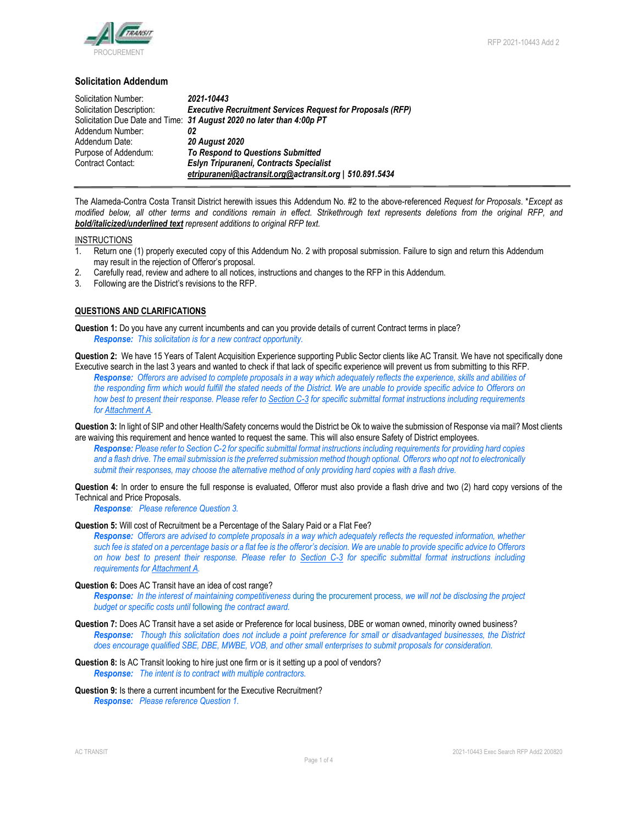

## **Solicitation Addendum**

| Solicitation Number:      | 2021-10443                                                            |
|---------------------------|-----------------------------------------------------------------------|
| Solicitation Description: | <b>Executive Recruitment Services Request for Proposals (RFP)</b>     |
|                           | Solicitation Due Date and Time: 31 August 2020 no later than 4:00p PT |
| Addendum Number:          | 02                                                                    |
| Addendum Date:            | <b>20 August 2020</b>                                                 |
| Purpose of Addendum:      | <b>To Respond to Questions Submitted</b>                              |
| Contract Contact:         | Eslyn Tripuraneni, Contracts Specialist                               |
|                           | etripuraneni@actransit.org@actransit.org   510.891.5434               |

The Alameda-Contra Costa Transit District herewith issues this Addendum No. #2 to the above-referenced *Request for Proposals*. \**Except as modified below, all other terms and conditions remain in effect. Strikethrough text represents deletions from the original RFP, and bold/italicized/underlined text represent additions to original RFP text.*

# **INSTRUCTIONS**

- 1. Return one (1) properly executed copy of this Addendum No. 2 with proposal submission. Failure to sign and return this Addendum may result in the rejection of Offeror's proposal.
- 2. Carefully read, review and adhere to all notices, instructions and changes to the RFP in this Addendum.
- 3. Following are the District's revisions to the RFP.

### **QUESTIONS AND CLARIFICATIONS**

**Question 1:** Do you have any current incumbents and can you provide details of current Contract terms in place? *Response: This solicitation is for a new contract opportunity.* 

**Question 2:** We have 15 Years of Talent Acquisition Experience supporting Public Sector clients like AC Transit. We have not specifically done Executive search in the last 3 years and wanted to check if that lack of specific experience will prevent us from submitting to this RFP.

*Response: Offerors are advised to complete proposals in a way which adequately reflects the experience, skills and abilities of the responding firm which would fulfill the stated needs of the District. We are unable to provide specific advice to Offerors on how best to present their response. Please refer to Section C-3 for specific submittal format instructions including requirements for Attachment A.*

**Question 3:** In light of SIP and other Health/Safety concerns would the District be Ok to waive the submission of Response via mail? Most clients are waiving this requirement and hence wanted to request the same. This will also ensure Safety of District employees.

*Response: Please refer to Section C-2 for specific submittal format instructions including requirements for providing hard copies and a flash drive. The email submission is the preferred submission method though optional. Offerors who opt not to electronically submit their responses, may choose the alternative method of only providing hard copies with a flash drive.* 

**Question 4:** In order to ensure the full response is evaluated, Offeror must also provide a flash drive and two (2) hard copy versions of the Technical and Price Proposals.

*Response: Please reference Question 3.*

#### **Question 5:** Will cost of Recruitment be a Percentage of the Salary Paid or a Flat Fee?

*Response: Offerors are advised to complete proposals in a way which adequately reflects the requested information, whether such fee is stated on a percentage basis or a flat fee is the offeror's decision. We are unable to provide specific advice to Offerors on how best to present their response. Please refer to Section C-3 for specific submittal format instructions including requirements for Attachment A.*

### **Question 6:** Does AC Transit have an idea of cost range?

*Response: In the interest of maintaining competitiveness* during the procurement process*, we will not be disclosing the project budget or specific costs until* following *the contract award.* 

- **Question 7:** Does AC Transit have a set aside or Preference for local business, DBE or woman owned, minority owned business? *Response: Though this solicitation does not include a point preference for small or disadvantaged businesses, the District does encourage qualified SBE, DBE, MWBE, VOB, and other small enterprises to submit proposals for consideration.*
- **Question 8:** Is AC Transit looking to hire just one firm or is it setting up a pool of vendors? *Response: The intent is to contract with multiple contractors.*

### **Question 9:** Is there a current incumbent for the Executive Recruitment? *Response: Please reference Question 1.*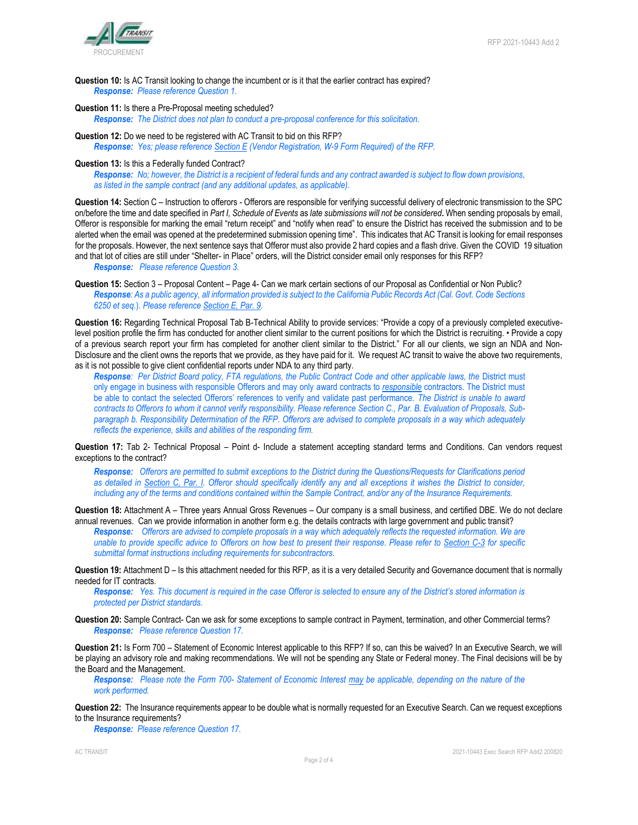

**Question 10:** Is AC Transit looking to change the incumbent or is it that the earlier contract has expired? *Response: Please reference Question 1.*

# **Question 11:** Is there a Pre-Proposal meeting scheduled?

*Response: The District does not plan to conduct a pre-proposal conference for this solicitation.*

**Question 12:** Do we need to be registered with AC Transit to bid on this RFP? *Response: Yes; please reference Section E (Vendor Registration, W-9 Form Required) of the RFP.* 

#### **Question 13:** Is this a Federally funded Contract?

*Response: No; however, the District is a recipient of federal funds and any contract awarded is subject to flow down provisions, as listed in the sample contract (and any additional updates, as applicable).* 

**Question 14:** Section C – Instruction to offerors - Offerors are responsible for verifying successful delivery of electronic transmission to the SPC on/before the time and date specified in *Part I, Schedule of Events* as *late submissions will not be considered***.** When sending proposals by email, Offeror is responsible for marking the email "return receipt" and "notify when read" to ensure the District has received the submission and to be alerted when the email was opened at the predetermined submission opening time". This indicates that AC Transit is looking for email responses for the proposals. However, the next sentence says that Offeror must also provide 2 hard copies and a flash drive. Given the COVID 19 situation and that lot of cities are still under "Shelter- in Place" orders, will the District consider email only responses for this RFP? *Response: Please reference Question 3.*

**Question 15:** Section 3 – Proposal Content – Page 4- Can we mark certain sections of our Proposal as Confidential or Non Public? *Response: As a public agency, all information provided is subject to the California Public Records Act (Cal. Govt. Code Sections 6250 et seq*.). *Please reference Section E, Par. 9.*

**Question 16:** Regarding Technical Proposal Tab B-Technical Ability to provide services: "Provide a copy of a previously completed executivelevel position profile the firm has conducted for another client similar to the current positions for which the District is recruiting. • Provide a copy of a previous search report your firm has completed for another client similar to the District." For all our clients, we sign an NDA and Non-Disclosure and the client owns the reports that we provide, as they have paid for it. We request AC transit to waive the above two requirements, as it is not possible to give client confidential reports under NDA to any third party.

**Response**: Per District Board policy, FTA regulations, the Public Contract Code and other applicable laws, the District must only engage in business with responsible Offerors and may only award contracts to *responsible* contractors. The District must be able to contact the selected Offerors' references to verify and validate past performance. *The District is unable to award contracts to Offerors to whom it cannot verify responsibility. Please reference Section C., Par. B. Evaluation of Proposals, Subparagraph b. Responsibility Determination of the RFP. Offerors are advised to complete proposals in a way which adequately reflects the experience, skills and abilities of the responding firm.* 

**Question 17:** Tab 2- Technical Proposal – Point d- Include a statement accepting standard terms and Conditions. Can vendors request exceptions to the contract?

*Response: Offerors are permitted to submit exceptions to the District during the Questions/Requests for Clarifications period as detailed in Section C, Par. I. Offeror should specifically identify any and all exceptions it wishes the District to consider, including any of the terms and conditions contained within the Sample Contract, and/or any of the Insurance Requirements.*

**Question 18:** Attachment A – Three years Annual Gross Revenues – Our company is a small business, and certified DBE. We do not declare annual revenues. Can we provide information in another form e.g. the details contracts with large government and public transit?

*Response: Offerors are advised to complete proposals in a way which adequately reflects the requested information. We are unable to provide specific advice to Offerors on how best to present their response. Please refer to Section C-3 for specific submittal format instructions including requirements for subcontractors.*

**Question 19:** Attachment D – Is this attachment needed for this RFP, as it is a very detailed Security and Governance document that is normally needed for IT contracts.

*Response: Yes. This document is required in the case Offeror is selected to ensure any of the District's stored information is protected per District standards.*

**Question 20:** Sample Contract- Can we ask for some exceptions to sample contract in Payment, termination, and other Commercial terms? *Response: Please reference Question 17.*

**Question 21:** Is Form 700 – Statement of Economic Interest applicable to this RFP? If so, can this be waived? In an Executive Search, we will be playing an advisory role and making recommendations. We will not be spending any State or Federal money. The Final decisions will be by the Board and the Management.

*Response: Please note the Form 700- Statement of Economic Interest may be applicable, depending on the nature of the work performed.* 

**Question 22:** The Insurance requirements appear to be double what is normally requested for an Executive Search. Can we request exceptions to the Insurance requirements?

*Response: Please reference Question 17.*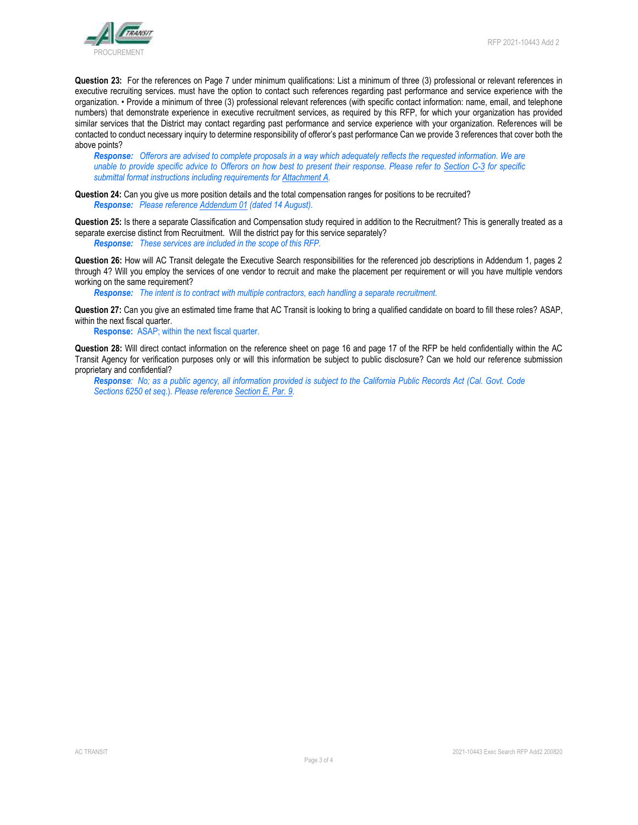

**Question 23:** For the references on Page 7 under minimum qualifications: List a minimum of three (3) professional or relevant references in executive recruiting services. must have the option to contact such references regarding past performance and service experience with the organization. • Provide a minimum of three (3) professional relevant references (with specific contact information: name, email, and telephone numbers) that demonstrate experience in executive recruitment services, as required by this RFP, for which your organization has provided similar services that the District may contact regarding past performance and service experience with your organization. References will be contacted to conduct necessary inquiry to determine responsibility of offeror's past performance Can we provide 3 references that cover both the above points?

*Response: Offerors are advised to complete proposals in a way which adequately reflects the requested information. We are unable to provide specific advice to Offerors on how best to present their response. Please refer to Section C-3 for specific submittal format instructions including requirements for Attachment A.* 

**Question 24:** Can you give us more position details and the total compensation ranges for positions to be recruited? *Response: Please reference Addendum 01 (dated 14 August).*

**Question 25:** Is there a separate Classification and Compensation study required in addition to the Recruitment? This is generally treated as a separate exercise distinct from Recruitment. Will the district pay for this service separately? *Response: These services are included in the scope of this RFP.*

**Question 26:** How will AC Transit delegate the Executive Search responsibilities for the referenced job descriptions in Addendum 1, pages 2 through 4? Will you employ the services of one vendor to recruit and make the placement per requirement or will you have multiple vendors working on the same requirement?

*Response: The intent is to contract with multiple contractors, each handling a separate recruitment.*

**Question 27:** Can you give an estimated time frame that AC Transit is looking to bring a qualified candidate on board to fill these roles? ASAP, within the next fiscal quarter.

**Response:** ASAP; within the next fiscal quarter.

**Question 28:** Will direct contact information on the reference sheet on page 16 and page 17 of the RFP be held confidentially within the AC Transit Agency for verification purposes only or will this information be subject to public disclosure? Can we hold our reference submission proprietary and confidential?

*Response: No; as a public agency, all information provided is subject to the California Public Records Act (Cal. Govt. Code Sections 6250 et seq*.). *Please reference Section E, Par. 9.*